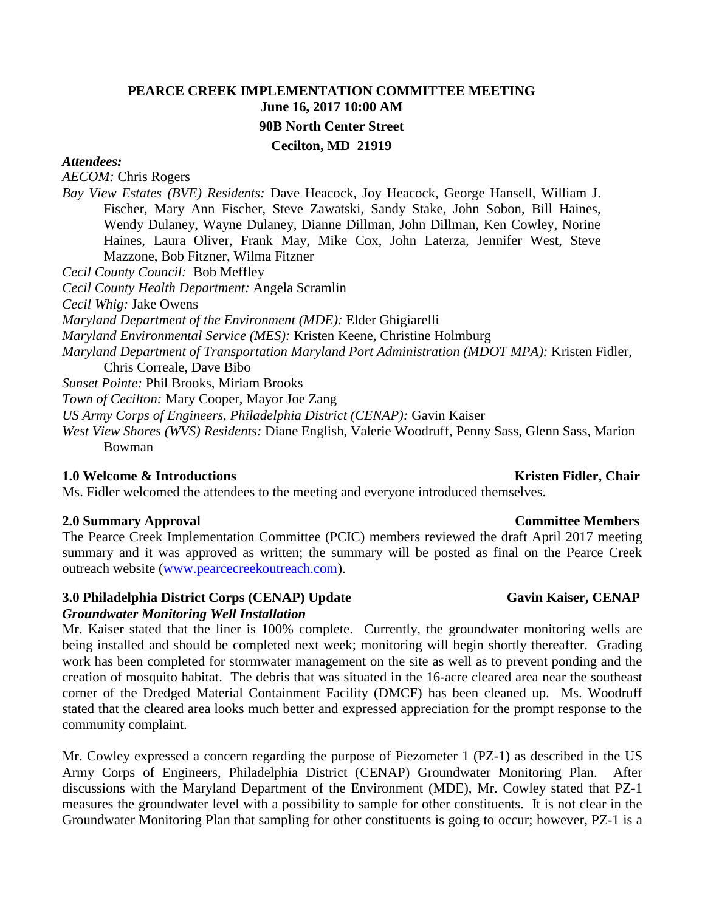# **PEARCE CREEK IMPLEMENTATION COMMITTEE MEETING June 16, 2017 10:00 AM 90B North Center Street Cecilton, MD 21919**

### *Attendees:*

*AECOM:* Chris Rogers

*Bay View Estates (BVE) Residents:* Dave Heacock, Joy Heacock, George Hansell, William J. Fischer, Mary Ann Fischer, Steve Zawatski, Sandy Stake, John Sobon, Bill Haines, Wendy Dulaney, Wayne Dulaney, Dianne Dillman, John Dillman, Ken Cowley, Norine Haines, Laura Oliver, Frank May, Mike Cox, John Laterza, Jennifer West, Steve Mazzone, Bob Fitzner, Wilma Fitzner

*Cecil County Council:* Bob Meffley

*Cecil County Health Department:* Angela Scramlin

*Cecil Whig:* Jake Owens

*Maryland Department of the Environment (MDE):* Elder Ghigiarelli

*Maryland Environmental Service (MES):* Kristen Keene, Christine Holmburg

*Maryland Department of Transportation Maryland Port Administration (MDOT MPA):* Kristen Fidler, Chris Correale, Dave Bibo

*Sunset Pointe:* Phil Brooks, Miriam Brooks

*Town of Cecilton:* Mary Cooper, Mayor Joe Zang

*US Army Corps of Engineers, Philadelphia District (CENAP):* Gavin Kaiser

*West View Shores (WVS) Residents:* Diane English, Valerie Woodruff, Penny Sass, Glenn Sass, Marion Bowman

# **1.0 Welcome & Introductions Chair <b>Kristen Fidler, Chair Kristen Fidler**, Chair

Ms. Fidler welcomed the attendees to the meeting and everyone introduced themselves.

### **2.0 Summary Approval Committee Members**

The Pearce Creek Implementation Committee (PCIC) members reviewed the draft April 2017 meeting summary and it was approved as written; the summary will be posted as final on the Pearce Creek outreach website [\(www.pearcecreekoutreach.com\)](http://www.pearcecreekoutreach.com/).

## **3.0** Philadelphia District Corps (CENAP) Update Gavin Kaiser, CENAP

### *Groundwater Monitoring Well Installation*

Mr. Kaiser stated that the liner is 100% complete. Currently, the groundwater monitoring wells are being installed and should be completed next week; monitoring will begin shortly thereafter. Grading work has been completed for stormwater management on the site as well as to prevent ponding and the creation of mosquito habitat. The debris that was situated in the 16-acre cleared area near the southeast corner of the Dredged Material Containment Facility (DMCF) has been cleaned up. Ms. Woodruff stated that the cleared area looks much better and expressed appreciation for the prompt response to the community complaint.

Mr. Cowley expressed a concern regarding the purpose of Piezometer 1 (PZ-1) as described in the US Army Corps of Engineers, Philadelphia District (CENAP) Groundwater Monitoring Plan. After discussions with the Maryland Department of the Environment (MDE), Mr. Cowley stated that PZ-1 measures the groundwater level with a possibility to sample for other constituents. It is not clear in the Groundwater Monitoring Plan that sampling for other constituents is going to occur; however, PZ-1 is a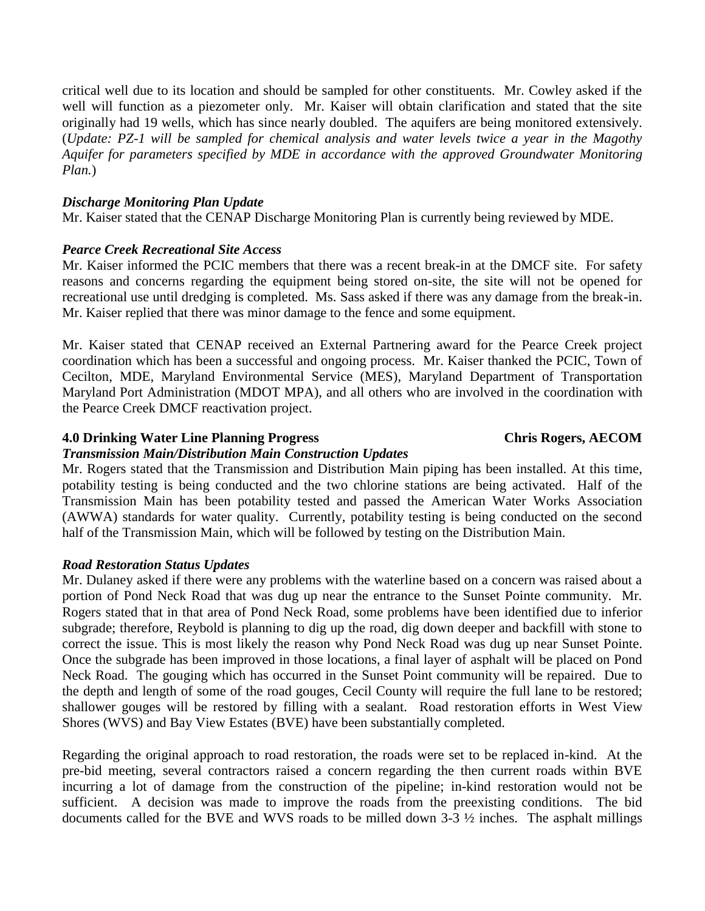critical well due to its location and should be sampled for other constituents. Mr. Cowley asked if the well will function as a piezometer only. Mr. Kaiser will obtain clarification and stated that the site originally had 19 wells, which has since nearly doubled. The aquifers are being monitored extensively. (*Update: PZ-1 will be sampled for chemical analysis and water levels twice a year in the Magothy Aquifer for parameters specified by MDE in accordance with the approved Groundwater Monitoring Plan.*)

## *Discharge Monitoring Plan Update*

Mr. Kaiser stated that the CENAP Discharge Monitoring Plan is currently being reviewed by MDE.

### *Pearce Creek Recreational Site Access*

Mr. Kaiser informed the PCIC members that there was a recent break-in at the DMCF site. For safety reasons and concerns regarding the equipment being stored on-site, the site will not be opened for recreational use until dredging is completed. Ms. Sass asked if there was any damage from the break-in. Mr. Kaiser replied that there was minor damage to the fence and some equipment.

Mr. Kaiser stated that CENAP received an External Partnering award for the Pearce Creek project coordination which has been a successful and ongoing process. Mr. Kaiser thanked the PCIC, Town of Cecilton, MDE, Maryland Environmental Service (MES), Maryland Department of Transportation Maryland Port Administration (MDOT MPA), and all others who are involved in the coordination with the Pearce Creek DMCF reactivation project.

### **4.0 Drinking Water Line Planning Progress Chris Rogers, AECOM**

### *Transmission Main/Distribution Main Construction Updates*

Mr. Rogers stated that the Transmission and Distribution Main piping has been installed. At this time, potability testing is being conducted and the two chlorine stations are being activated. Half of the Transmission Main has been potability tested and passed the American Water Works Association (AWWA) standards for water quality. Currently, potability testing is being conducted on the second half of the Transmission Main, which will be followed by testing on the Distribution Main.

## *Road Restoration Status Updates*

Mr. Dulaney asked if there were any problems with the waterline based on a concern was raised about a portion of Pond Neck Road that was dug up near the entrance to the Sunset Pointe community. Mr. Rogers stated that in that area of Pond Neck Road, some problems have been identified due to inferior subgrade; therefore, Reybold is planning to dig up the road, dig down deeper and backfill with stone to correct the issue. This is most likely the reason why Pond Neck Road was dug up near Sunset Pointe. Once the subgrade has been improved in those locations, a final layer of asphalt will be placed on Pond Neck Road. The gouging which has occurred in the Sunset Point community will be repaired. Due to the depth and length of some of the road gouges, Cecil County will require the full lane to be restored; shallower gouges will be restored by filling with a sealant. Road restoration efforts in West View Shores (WVS) and Bay View Estates (BVE) have been substantially completed.

Regarding the original approach to road restoration, the roads were set to be replaced in-kind. At the pre-bid meeting, several contractors raised a concern regarding the then current roads within BVE incurring a lot of damage from the construction of the pipeline; in-kind restoration would not be sufficient. A decision was made to improve the roads from the preexisting conditions. The bid documents called for the BVE and WVS roads to be milled down 3-3 ½ inches. The asphalt millings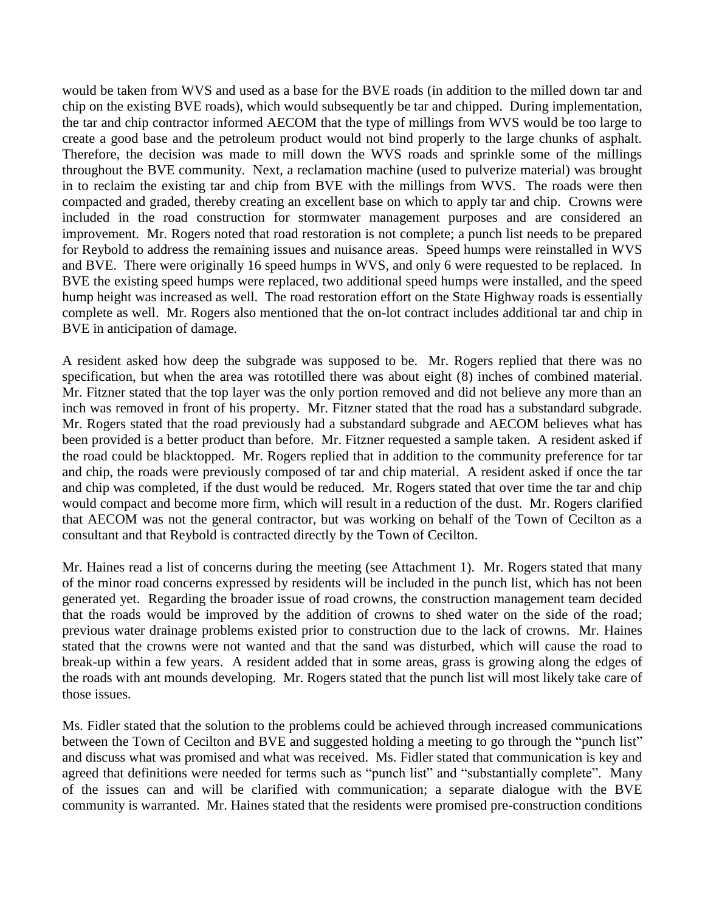would be taken from WVS and used as a base for the BVE roads (in addition to the milled down tar and chip on the existing BVE roads), which would subsequently be tar and chipped. During implementation, the tar and chip contractor informed AECOM that the type of millings from WVS would be too large to create a good base and the petroleum product would not bind properly to the large chunks of asphalt. Therefore, the decision was made to mill down the WVS roads and sprinkle some of the millings throughout the BVE community. Next, a reclamation machine (used to pulverize material) was brought in to reclaim the existing tar and chip from BVE with the millings from WVS. The roads were then compacted and graded, thereby creating an excellent base on which to apply tar and chip. Crowns were included in the road construction for stormwater management purposes and are considered an improvement. Mr. Rogers noted that road restoration is not complete; a punch list needs to be prepared for Reybold to address the remaining issues and nuisance areas. Speed humps were reinstalled in WVS and BVE. There were originally 16 speed humps in WVS, and only 6 were requested to be replaced. In BVE the existing speed humps were replaced, two additional speed humps were installed, and the speed hump height was increased as well. The road restoration effort on the State Highway roads is essentially complete as well. Mr. Rogers also mentioned that the on-lot contract includes additional tar and chip in BVE in anticipation of damage.

A resident asked how deep the subgrade was supposed to be. Mr. Rogers replied that there was no specification, but when the area was rototilled there was about eight (8) inches of combined material. Mr. Fitzner stated that the top layer was the only portion removed and did not believe any more than an inch was removed in front of his property. Mr. Fitzner stated that the road has a substandard subgrade. Mr. Rogers stated that the road previously had a substandard subgrade and AECOM believes what has been provided is a better product than before. Mr. Fitzner requested a sample taken. A resident asked if the road could be blacktopped. Mr. Rogers replied that in addition to the community preference for tar and chip, the roads were previously composed of tar and chip material. A resident asked if once the tar and chip was completed, if the dust would be reduced. Mr. Rogers stated that over time the tar and chip would compact and become more firm, which will result in a reduction of the dust. Mr. Rogers clarified that AECOM was not the general contractor, but was working on behalf of the Town of Cecilton as a consultant and that Reybold is contracted directly by the Town of Cecilton.

Mr. Haines read a list of concerns during the meeting (see Attachment 1). Mr. Rogers stated that many of the minor road concerns expressed by residents will be included in the punch list, which has not been generated yet. Regarding the broader issue of road crowns, the construction management team decided that the roads would be improved by the addition of crowns to shed water on the side of the road; previous water drainage problems existed prior to construction due to the lack of crowns. Mr. Haines stated that the crowns were not wanted and that the sand was disturbed, which will cause the road to break-up within a few years. A resident added that in some areas, grass is growing along the edges of the roads with ant mounds developing. Mr. Rogers stated that the punch list will most likely take care of those issues.

Ms. Fidler stated that the solution to the problems could be achieved through increased communications between the Town of Cecilton and BVE and suggested holding a meeting to go through the "punch list" and discuss what was promised and what was received. Ms. Fidler stated that communication is key and agreed that definitions were needed for terms such as "punch list" and "substantially complete". Many of the issues can and will be clarified with communication; a separate dialogue with the BVE community is warranted. Mr. Haines stated that the residents were promised pre-construction conditions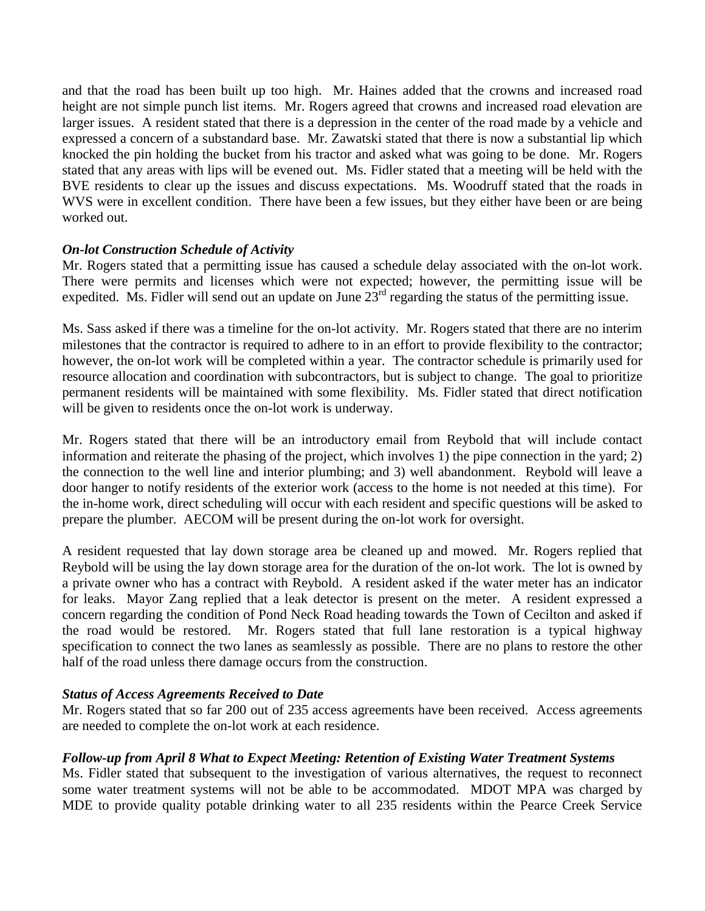and that the road has been built up too high. Mr. Haines added that the crowns and increased road height are not simple punch list items. Mr. Rogers agreed that crowns and increased road elevation are larger issues. A resident stated that there is a depression in the center of the road made by a vehicle and expressed a concern of a substandard base. Mr. Zawatski stated that there is now a substantial lip which knocked the pin holding the bucket from his tractor and asked what was going to be done. Mr. Rogers stated that any areas with lips will be evened out. Ms. Fidler stated that a meeting will be held with the BVE residents to clear up the issues and discuss expectations. Ms. Woodruff stated that the roads in WVS were in excellent condition. There have been a few issues, but they either have been or are being worked out.

# *On-lot Construction Schedule of Activity*

Mr. Rogers stated that a permitting issue has caused a schedule delay associated with the on-lot work. There were permits and licenses which were not expected; however, the permitting issue will be expedited. Ms. Fidler will send out an update on June  $23<sup>rd</sup>$  regarding the status of the permitting issue.

Ms. Sass asked if there was a timeline for the on-lot activity. Mr. Rogers stated that there are no interim milestones that the contractor is required to adhere to in an effort to provide flexibility to the contractor; however, the on-lot work will be completed within a year. The contractor schedule is primarily used for resource allocation and coordination with subcontractors, but is subject to change. The goal to prioritize permanent residents will be maintained with some flexibility. Ms. Fidler stated that direct notification will be given to residents once the on-lot work is underway.

Mr. Rogers stated that there will be an introductory email from Reybold that will include contact information and reiterate the phasing of the project, which involves 1) the pipe connection in the yard; 2) the connection to the well line and interior plumbing; and 3) well abandonment. Reybold will leave a door hanger to notify residents of the exterior work (access to the home is not needed at this time). For the in-home work, direct scheduling will occur with each resident and specific questions will be asked to prepare the plumber. AECOM will be present during the on-lot work for oversight.

A resident requested that lay down storage area be cleaned up and mowed. Mr. Rogers replied that Reybold will be using the lay down storage area for the duration of the on-lot work. The lot is owned by a private owner who has a contract with Reybold. A resident asked if the water meter has an indicator for leaks. Mayor Zang replied that a leak detector is present on the meter. A resident expressed a concern regarding the condition of Pond Neck Road heading towards the Town of Cecilton and asked if the road would be restored. Mr. Rogers stated that full lane restoration is a typical highway specification to connect the two lanes as seamlessly as possible. There are no plans to restore the other half of the road unless there damage occurs from the construction.

# *Status of Access Agreements Received to Date*

Mr. Rogers stated that so far 200 out of 235 access agreements have been received. Access agreements are needed to complete the on-lot work at each residence.

# *Follow-up from April 8 What to Expect Meeting: Retention of Existing Water Treatment Systems*

Ms. Fidler stated that subsequent to the investigation of various alternatives, the request to reconnect some water treatment systems will not be able to be accommodated. MDOT MPA was charged by MDE to provide quality potable drinking water to all 235 residents within the Pearce Creek Service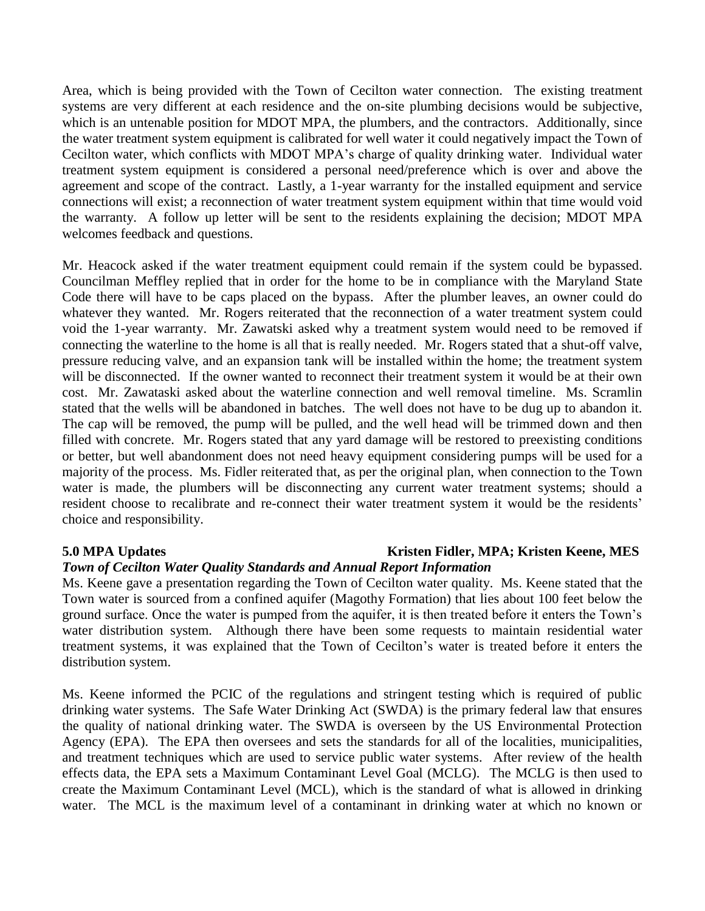Area, which is being provided with the Town of Cecilton water connection. The existing treatment systems are very different at each residence and the on-site plumbing decisions would be subjective, which is an untenable position for MDOT MPA, the plumbers, and the contractors. Additionally, since the water treatment system equipment is calibrated for well water it could negatively impact the Town of Cecilton water, which conflicts with MDOT MPA's charge of quality drinking water. Individual water treatment system equipment is considered a personal need/preference which is over and above the agreement and scope of the contract. Lastly, a 1-year warranty for the installed equipment and service connections will exist; a reconnection of water treatment system equipment within that time would void the warranty. A follow up letter will be sent to the residents explaining the decision; MDOT MPA welcomes feedback and questions.

Mr. Heacock asked if the water treatment equipment could remain if the system could be bypassed. Councilman Meffley replied that in order for the home to be in compliance with the Maryland State Code there will have to be caps placed on the bypass. After the plumber leaves, an owner could do whatever they wanted. Mr. Rogers reiterated that the reconnection of a water treatment system could void the 1-year warranty. Mr. Zawatski asked why a treatment system would need to be removed if connecting the waterline to the home is all that is really needed. Mr. Rogers stated that a shut-off valve, pressure reducing valve, and an expansion tank will be installed within the home; the treatment system will be disconnected. If the owner wanted to reconnect their treatment system it would be at their own cost. Mr. Zawataski asked about the waterline connection and well removal timeline. Ms. Scramlin stated that the wells will be abandoned in batches. The well does not have to be dug up to abandon it. The cap will be removed, the pump will be pulled, and the well head will be trimmed down and then filled with concrete. Mr. Rogers stated that any yard damage will be restored to preexisting conditions or better, but well abandonment does not need heavy equipment considering pumps will be used for a majority of the process. Ms. Fidler reiterated that, as per the original plan, when connection to the Town water is made, the plumbers will be disconnecting any current water treatment systems; should a resident choose to recalibrate and re-connect their water treatment system it would be the residents' choice and responsibility.

## **5.0** MPA Updates **Kristen Fidler, MPA; Kristen Keene, MES** *Town of Cecilton Water Quality Standards and Annual Report Information*

Ms. Keene gave a presentation regarding the Town of Cecilton water quality. Ms. Keene stated that the Town water is sourced from a confined aquifer (Magothy Formation) that lies about 100 feet below the ground surface. Once the water is pumped from the aquifer, it is then treated before it enters the Town's water distribution system. Although there have been some requests to maintain residential water treatment systems, it was explained that the Town of Cecilton's water is treated before it enters the distribution system.

Ms. Keene informed the PCIC of the regulations and stringent testing which is required of public drinking water systems. The Safe Water Drinking Act (SWDA) is the primary federal law that ensures the quality of national drinking water. The SWDA is overseen by the US Environmental Protection Agency (EPA). The EPA then oversees and sets the standards for all of the localities, municipalities, and treatment techniques which are used to service public water systems. After review of the health effects data, the EPA sets a Maximum Contaminant Level Goal (MCLG). The MCLG is then used to create the Maximum Contaminant Level (MCL), which is the standard of what is allowed in drinking water. The MCL is the maximum level of a contaminant in drinking water at which no known or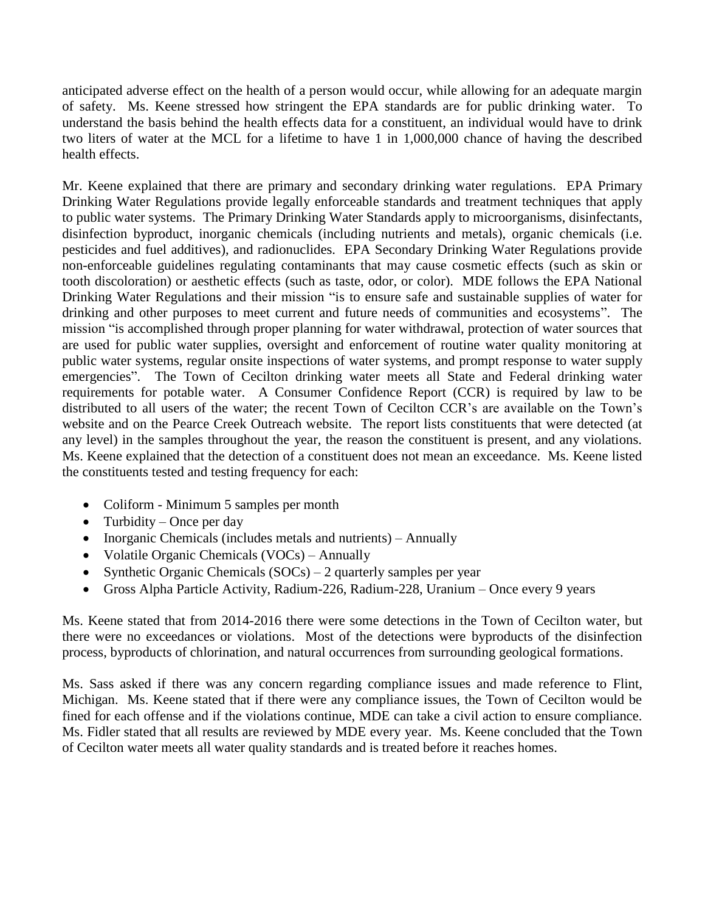anticipated adverse effect on the health of a person would occur, while allowing for an adequate margin of safety. Ms. Keene stressed how stringent the EPA standards are for public drinking water. To understand the basis behind the health effects data for a constituent, an individual would have to drink two liters of water at the MCL for a lifetime to have 1 in 1,000,000 chance of having the described health effects.

Mr. Keene explained that there are primary and secondary drinking water regulations. EPA Primary Drinking Water Regulations provide legally enforceable standards and treatment techniques that apply to public water systems. The Primary Drinking Water Standards apply to microorganisms, disinfectants, disinfection byproduct, inorganic chemicals (including nutrients and metals), organic chemicals (i.e. pesticides and fuel additives), and radionuclides. EPA Secondary Drinking Water Regulations provide non-enforceable guidelines regulating contaminants that may cause cosmetic effects (such as skin or tooth discoloration) or aesthetic effects (such as taste, odor, or color). MDE follows the EPA National Drinking Water Regulations and their mission "is to ensure safe and sustainable supplies of water for drinking and other purposes to meet current and future needs of communities and ecosystems". The mission "is accomplished through proper planning for water withdrawal, protection of water sources that are used for public water supplies, oversight and enforcement of routine water quality monitoring at public water systems, regular onsite inspections of water systems, and prompt response to water supply emergencies". The Town of Cecilton drinking water meets all State and Federal drinking water requirements for potable water. A Consumer Confidence Report (CCR) is required by law to be distributed to all users of the water; the recent Town of Cecilton CCR's are available on the Town's website and on the Pearce Creek Outreach website. The report lists constituents that were detected (at any level) in the samples throughout the year, the reason the constituent is present, and any violations. Ms. Keene explained that the detection of a constituent does not mean an exceedance. Ms. Keene listed the constituents tested and testing frequency for each:

- Coliform Minimum 5 samples per month
- Turbidity Once per day
- Inorganic Chemicals (includes metals and nutrients) Annually
- Volatile Organic Chemicals (VOCs) Annually
- Synthetic Organic Chemicals  $(SOCs) 2$  quarterly samples per year
- Gross Alpha Particle Activity, Radium-226, Radium-228, Uranium Once every 9 years

Ms. Keene stated that from 2014-2016 there were some detections in the Town of Cecilton water, but there were no exceedances or violations. Most of the detections were byproducts of the disinfection process, byproducts of chlorination, and natural occurrences from surrounding geological formations.

Ms. Sass asked if there was any concern regarding compliance issues and made reference to Flint, Michigan. Ms. Keene stated that if there were any compliance issues, the Town of Cecilton would be fined for each offense and if the violations continue, MDE can take a civil action to ensure compliance. Ms. Fidler stated that all results are reviewed by MDE every year. Ms. Keene concluded that the Town of Cecilton water meets all water quality standards and is treated before it reaches homes.